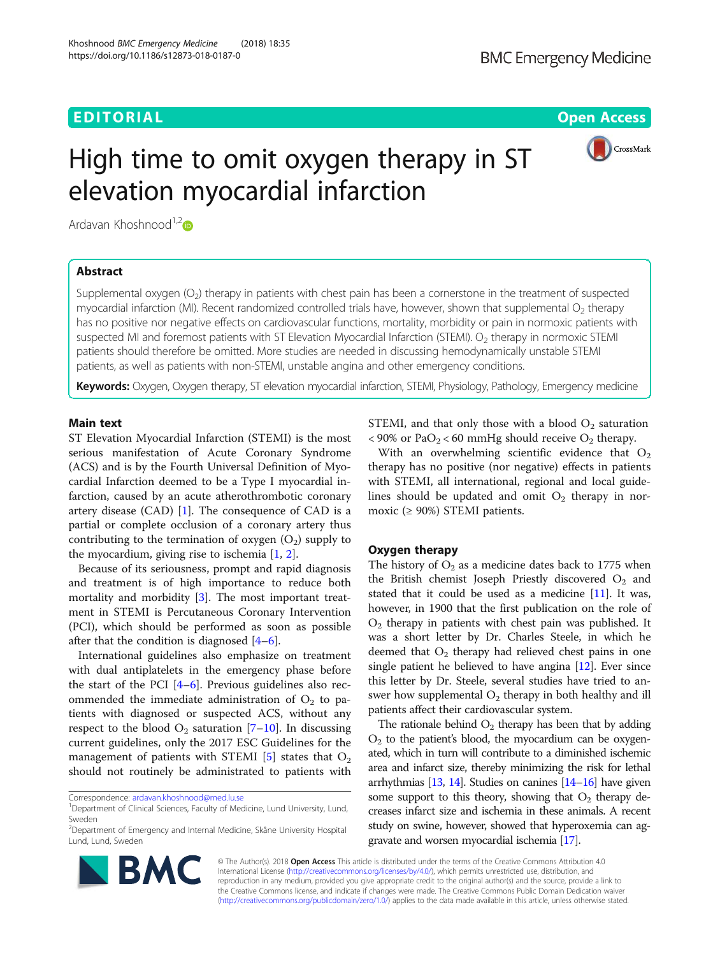# EDITORIAL AND Open Access that the contract of the contract of the contract of the contract of the contract of



# High time to omit oxygen therapy in ST elevation myocardial infarction

Ardavan Khoshnood $^{1,2}$ 

# Abstract

Supplemental oxygen  $(O_2)$  therapy in patients with chest pain has been a cornerstone in the treatment of suspected myocardial infarction (MI). Recent randomized controlled trials have, however, shown that supplemental  $O_2$  therapy has no positive nor negative effects on cardiovascular functions, mortality, morbidity or pain in normoxic patients with suspected MI and foremost patients with ST Elevation Myocardial Infarction (STEMI).  $\rm O_2$  therapy in normoxic STEMI patients should therefore be omitted. More studies are needed in discussing hemodynamically unstable STEMI patients, as well as patients with non-STEMI, unstable angina and other emergency conditions.

Keywords: Oxygen, Oxygen therapy, ST elevation myocardial infarction, STEMI, Physiology, Pathology, Emergency medicine

# Main text

ST Elevation Myocardial Infarction (STEMI) is the most serious manifestation of Acute Coronary Syndrome (ACS) and is by the Fourth Universal Definition of Myocardial Infarction deemed to be a Type I myocardial infarction, caused by an acute atherothrombotic coronary artery disease  $(CAD)$  [\[1](#page-3-0)]. The consequence of  $CAD$  is a partial or complete occlusion of a coronary artery thus contributing to the termination of oxygen  $(O_2)$  supply to the myocardium, giving rise to ischemia [[1,](#page-3-0) [2\]](#page-3-0).

Because of its seriousness, prompt and rapid diagnosis and treatment is of high importance to reduce both mortality and morbidity [\[3](#page-3-0)]. The most important treatment in STEMI is Percutaneous Coronary Intervention (PCI), which should be performed as soon as possible after that the condition is diagnosed [\[4](#page-3-0)–[6\]](#page-3-0).

International guidelines also emphasize on treatment with dual antiplatelets in the emergency phase before the start of the PCI  $[4-6]$  $[4-6]$  $[4-6]$  $[4-6]$ . Previous guidelines also recommended the immediate administration of  $O_2$  to patients with diagnosed or suspected ACS, without any respect to the blood  $O_2$  saturation [\[7](#page-3-0)–[10\]](#page-4-0). In discussing current guidelines, only the 2017 ESC Guidelines for the management of patients with STEMI  $[5]$  $[5]$  states that  $O_2$ should not routinely be administrated to patients with

<sup>&</sup>lt;sup>2</sup>Department of Emergency and Internal Medicine, Skåne University Hospital Lund, Lund, Sweden



STEMI, and that only those with a blood  $O_2$  saturation  $<$  90% or PaO<sub>2</sub>  $<$  60 mmHg should receive O<sub>2</sub> therapy.

With an overwhelming scientific evidence that  $O_2$ therapy has no positive (nor negative) effects in patients with STEMI, all international, regional and local guidelines should be updated and omit  $O_2$  therapy in normoxic ( $\geq$  90%) STEMI patients.

## Oxygen therapy

The history of  $O_2$  as a medicine dates back to 1775 when the British chemist Joseph Priestly discovered  $O<sub>2</sub>$  and stated that it could be used as a medicine [\[11](#page-4-0)]. It was, however, in 1900 that the first publication on the role of  $O<sub>2</sub>$  therapy in patients with chest pain was published. It was a short letter by Dr. Charles Steele, in which he deemed that  $O_2$  therapy had relieved chest pains in one single patient he believed to have angina [[12](#page-4-0)]. Ever since this letter by Dr. Steele, several studies have tried to answer how supplemental  $O_2$  therapy in both healthy and ill patients affect their cardiovascular system.

The rationale behind  $O_2$  therapy has been that by adding O<sup>2</sup> to the patient's blood, the myocardium can be oxygenated, which in turn will contribute to a diminished ischemic area and infarct size, thereby minimizing the risk for lethal arrhythmias  $[13, 14]$  $[13, 14]$  $[13, 14]$ . Studies on canines  $[14–16]$  $[14–16]$  $[14–16]$  $[14–16]$  have given some support to this theory, showing that  $O_2$  therapy decreases infarct size and ischemia in these animals. A recent study on swine, however, showed that hyperoxemia can aggravate and worsen myocardial ischemia [\[17\]](#page-4-0).

© The Author(s). 2018 Open Access This article is distributed under the terms of the Creative Commons Attribution 4.0 International License [\(http://creativecommons.org/licenses/by/4.0/](http://creativecommons.org/licenses/by/4.0/)), which permits unrestricted use, distribution, and reproduction in any medium, provided you give appropriate credit to the original author(s) and the source, provide a link to the Creative Commons license, and indicate if changes were made. The Creative Commons Public Domain Dedication waiver [\(http://creativecommons.org/publicdomain/zero/1.0/](http://creativecommons.org/publicdomain/zero/1.0/)) applies to the data made available in this article, unless otherwise stated.

Correspondence: [ardavan.khoshnood@med.lu.se](mailto:ardavan.khoshnood@med.lu.se)

<sup>&</sup>lt;sup>1</sup>Department of Clinical Sciences, Faculty of Medicine, Lund University, Lund, Sweden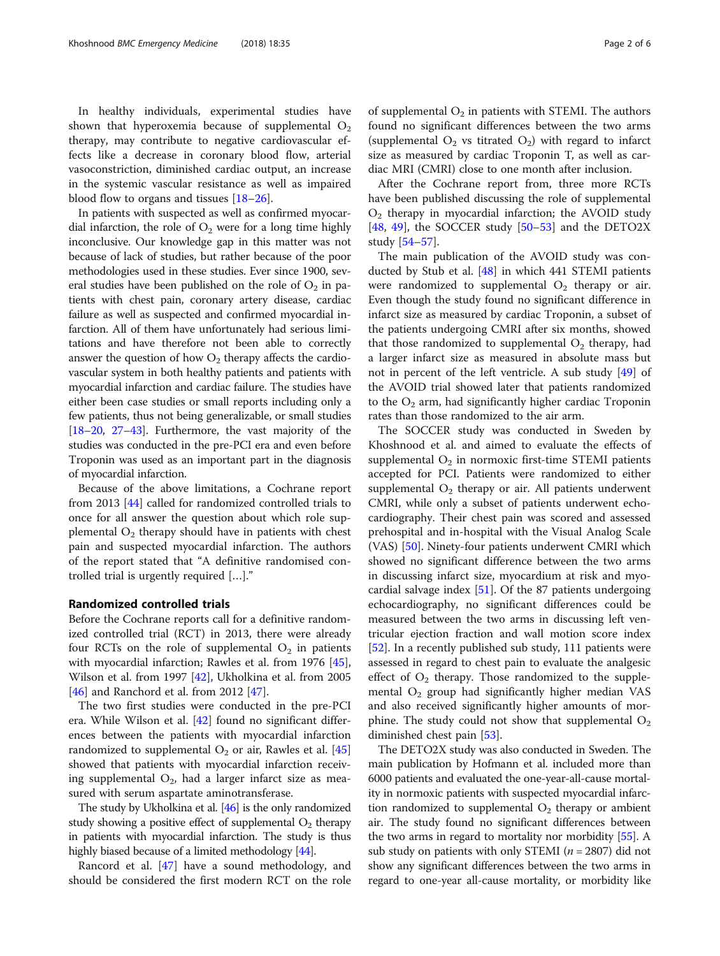In healthy individuals, experimental studies have shown that hyperoxemia because of supplemental  $O_2$ therapy, may contribute to negative cardiovascular effects like a decrease in coronary blood flow, arterial vasoconstriction, diminished cardiac output, an increase in the systemic vascular resistance as well as impaired blood flow to organs and tissues [\[18](#page-4-0)–[26\]](#page-4-0).

In patients with suspected as well as confirmed myocardial infarction, the role of  $O_2$  were for a long time highly inconclusive. Our knowledge gap in this matter was not because of lack of studies, but rather because of the poor methodologies used in these studies. Ever since 1900, several studies have been published on the role of  $O_2$  in patients with chest pain, coronary artery disease, cardiac failure as well as suspected and confirmed myocardial infarction. All of them have unfortunately had serious limitations and have therefore not been able to correctly answer the question of how  $O_2$  therapy affects the cardiovascular system in both healthy patients and patients with myocardial infarction and cardiac failure. The studies have either been case studies or small reports including only a few patients, thus not being generalizable, or small studies [[18](#page-4-0)–[20,](#page-4-0) [27](#page-4-0)–[43\]](#page-4-0). Furthermore, the vast majority of the studies was conducted in the pre-PCI era and even before Troponin was used as an important part in the diagnosis of myocardial infarction.

Because of the above limitations, a Cochrane report from 2013 [\[44](#page-4-0)] called for randomized controlled trials to once for all answer the question about which role supplemental  $\mathrm{O}_2$  therapy should have in patients with chest pain and suspected myocardial infarction. The authors of the report stated that "A definitive randomised controlled trial is urgently required […]."

#### Randomized controlled trials

Before the Cochrane reports call for a definitive randomized controlled trial (RCT) in 2013, there were already four RCTs on the role of supplemental  $O_2$  in patients with myocardial infarction; Rawles et al. from 1976 [\[45](#page-4-0)], Wilson et al. from 1997 [\[42\]](#page-4-0), Ukholkina et al. from 2005 [[46\]](#page-4-0) and Ranchord et al. from 2012 [\[47](#page-4-0)].

The two first studies were conducted in the pre-PCI era. While Wilson et al. [\[42](#page-4-0)] found no significant differences between the patients with myocardial infarction randomized to supplemental  $O_2$  or air, Rawles et al. [[45](#page-4-0)] showed that patients with myocardial infarction receiving supplemental  $O_2$ , had a larger infarct size as measured with serum aspartate aminotransferase.

The study by Ukholkina et al. [[46](#page-4-0)] is the only randomized study showing a positive effect of supplemental  $\mathrm{O}_2$  therapy in patients with myocardial infarction. The study is thus highly biased because of a limited methodology [\[44\]](#page-4-0).

Rancord et al. [\[47\]](#page-4-0) have a sound methodology, and should be considered the first modern RCT on the role

of supplemental  $O_2$  in patients with STEMI. The authors found no significant differences between the two arms (supplemental  $O_2$  vs titrated  $O_2$ ) with regard to infarct size as measured by cardiac Troponin T, as well as cardiac MRI (CMRI) close to one month after inclusion.

After the Cochrane report from, three more RCTs have been published discussing the role of supplemental O<sup>2</sup> therapy in myocardial infarction; the AVOID study [[48,](#page-4-0) [49\]](#page-4-0), the SOCCER study  $[50-53]$  $[50-53]$  $[50-53]$  and the DETO2X study [[54](#page-5-0)–[57](#page-5-0)].

The main publication of the AVOID study was conducted by Stub et al. [\[48](#page-4-0)] in which 441 STEMI patients were randomized to supplemental  $O_2$  therapy or air. Even though the study found no significant difference in infarct size as measured by cardiac Troponin, a subset of the patients undergoing CMRI after six months, showed that those randomized to supplemental  $O_2$  therapy, had a larger infarct size as measured in absolute mass but not in percent of the left ventricle. A sub study [[49\]](#page-4-0) of the AVOID trial showed later that patients randomized to the  $O<sub>2</sub>$  arm, had significantly higher cardiac Troponin rates than those randomized to the air arm.

The SOCCER study was conducted in Sweden by Khoshnood et al. and aimed to evaluate the effects of supplemental  $O_2$  in normoxic first-time STEMI patients accepted for PCI. Patients were randomized to either supplemental  $O_2$  therapy or air. All patients underwent CMRI, while only a subset of patients underwent echocardiography. Their chest pain was scored and assessed prehospital and in-hospital with the Visual Analog Scale (VAS) [\[50](#page-4-0)]. Ninety-four patients underwent CMRI which showed no significant difference between the two arms in discussing infarct size, myocardium at risk and myocardial salvage index [[51\]](#page-4-0). Of the 87 patients undergoing echocardiography, no significant differences could be measured between the two arms in discussing left ventricular ejection fraction and wall motion score index [[52\]](#page-4-0). In a recently published sub study, 111 patients were assessed in regard to chest pain to evaluate the analgesic effect of  $O_2$  therapy. Those randomized to the supplemental  $O_2$  group had significantly higher median VAS and also received significantly higher amounts of morphine. The study could not show that supplemental  $O_2$ diminished chest pain [[53](#page-4-0)].

The DETO2X study was also conducted in Sweden. The main publication by Hofmann et al. included more than 6000 patients and evaluated the one-year-all-cause mortality in normoxic patients with suspected myocardial infarction randomized to supplemental  $O_2$  therapy or ambient air. The study found no significant differences between the two arms in regard to mortality nor morbidity [[55](#page-5-0)]. A sub study on patients with only STEMI ( $n = 2807$ ) did not show any significant differences between the two arms in regard to one-year all-cause mortality, or morbidity like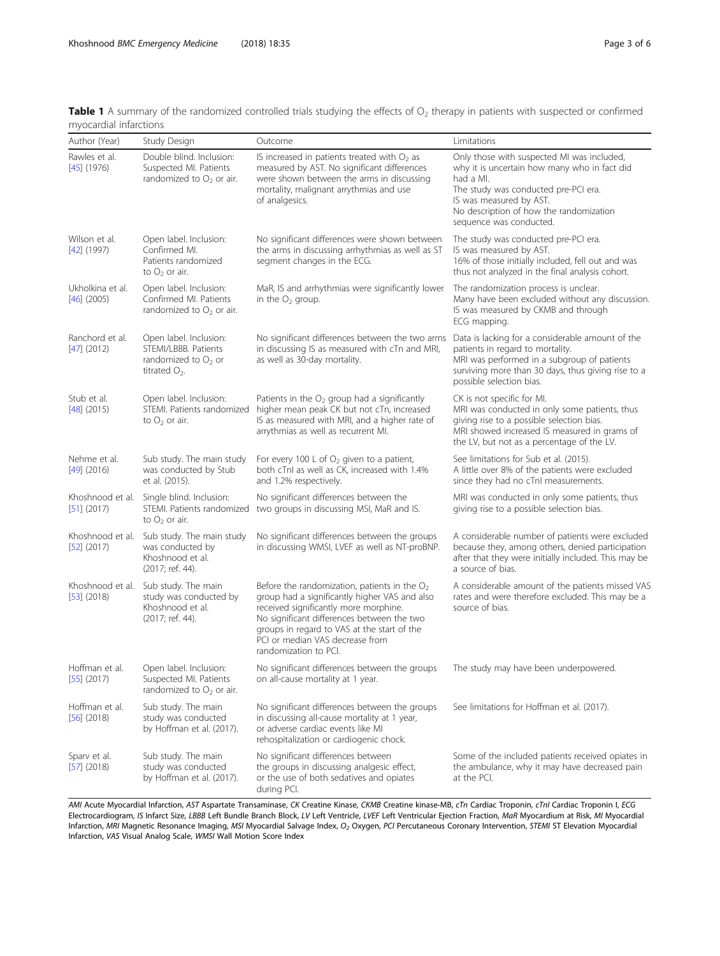<span id="page-2-0"></span>

| <b>Table 1</b> A summary of the randomized controlled trials studying the effects of $O2$ therapy in patients with suspected or confirmed |  |  |  |  |  |  |  |
|-------------------------------------------------------------------------------------------------------------------------------------------|--|--|--|--|--|--|--|
| myocardial infarctions                                                                                                                    |  |  |  |  |  |  |  |

| Author (Year)                     | Study Design                                                                                | Outcome                                                                                                                                                                                                                                                                                           | Limitations                                                                                                                                                                                                                                      |
|-----------------------------------|---------------------------------------------------------------------------------------------|---------------------------------------------------------------------------------------------------------------------------------------------------------------------------------------------------------------------------------------------------------------------------------------------------|--------------------------------------------------------------------------------------------------------------------------------------------------------------------------------------------------------------------------------------------------|
| Rawles et al.<br>$[45]$ (1976)    | Double blind. Inclusion:<br>Suspected MI. Patients<br>randomized to $O_2$ or air.           | IS increased in patients treated with $O2$ as<br>measured by AST. No significant differences<br>were shown between the arms in discussing<br>mortality, malignant arrythmias and use<br>of analgesics.                                                                                            | Only those with suspected MI was included,<br>why it is uncertain how many who in fact did<br>had a MI.<br>The study was conducted pre-PCI era.<br>IS was measured by AST.<br>No description of how the randomization<br>sequence was conducted. |
| Wilson et al.<br>$[42]$ (1997)    | Open label. Inclusion:<br>Confirmed MI.<br>Patients randomized<br>to $O_2$ or air.          | No significant differences were shown between<br>the arms in discussing arrhythmias as well as ST<br>segment changes in the ECG.                                                                                                                                                                  | The study was conducted pre-PCI era.<br>IS was measured by AST.<br>16% of those initially included, fell out and was<br>thus not analyzed in the final analysis cohort.                                                                          |
| Ukholkina et al.<br>$[46]$ (2005) | Open label. Inclusion:<br>Confirmed MI. Patients<br>randomized to $O2$ or air.              | MaR, IS and arrhythmias were significantly lower<br>in the $O2$ group.                                                                                                                                                                                                                            | The randomization process is unclear.<br>Many have been excluded without any discussion.<br>IS was measured by CKMB and through<br>ECG mapping.                                                                                                  |
| Ranchord et al.<br>$[47]$ (2012)  | Open label. Inclusion:<br>STEMI/LBBB. Patients<br>randomized to $O2$ or<br>titrated $O_2$ . | No significant differences between the two arms<br>in discussing IS as measured with cTn and MRI,<br>as well as 30-day mortality.                                                                                                                                                                 | Data is lacking for a considerable amount of the<br>patients in regard to mortality.<br>MRI was performed in a subgroup of patients<br>surviving more than 30 days, thus giving rise to a<br>possible selection bias.                            |
| Stub et al.<br>$[48]$ (2015)      | Open label. Inclusion:<br>STEMI. Patients randomized<br>to $O_2$ or air.                    | Patients in the $O2$ group had a significantly<br>higher mean peak CK but not cTn, increased<br>IS as measured with MRI, and a higher rate of<br>arrythmias as well as recurrent MI.                                                                                                              | CK is not specific for MI.<br>MRI was conducted in only some patients, thus<br>giving rise to a possible selection bias.<br>MRI showed increased IS measured in grams of<br>the LV, but not as a percentage of the LV.                           |
| Nehme et al.<br>$[49]$ (2016)     | Sub study. The main study<br>was conducted by Stub<br>et al. (2015).                        | For every 100 L of $O2$ given to a patient,<br>both cTnI as well as CK, increased with 1.4%<br>and 1.2% respectively.                                                                                                                                                                             | See limitations for Sub et al. (2015).<br>A little over 8% of the patients were excluded<br>since they had no cTnI measurements.                                                                                                                 |
| Khoshnood et al.<br>$[51]$ (2017) | Single blind. Inclusion:<br>STEMI. Patients randomized<br>to $O_2$ or air.                  | No significant differences between the<br>two groups in discussing MSI, MaR and IS.                                                                                                                                                                                                               | MRI was conducted in only some patients, thus<br>giving rise to a possible selection bias.                                                                                                                                                       |
| Khoshnood et al.<br>$[52]$ (2017) | Sub study. The main study<br>was conducted by<br>Khoshnood et al.<br>(2017; ref. 44).       | No significant differences between the groups<br>in discussing WMSI, LVEF as well as NT-proBNP.                                                                                                                                                                                                   | A considerable number of patients were excluded<br>because they, among others, denied participation<br>after that they were initially included. This may be<br>a source of bias.                                                                 |
| Khoshnood et al.<br>$[53]$ (2018) | Sub study. The main<br>study was conducted by<br>Khoshnood et al.<br>(2017; ref. 44).       | Before the randomization, patients in the $O2$<br>group had a significantly higher VAS and also<br>received significantly more morphine.<br>No significant differences between the two<br>groups in regard to VAS at the start of the<br>PCI or median VAS decrease from<br>randomization to PCI. | A considerable amount of the patients missed VAS<br>rates and were therefore excluded. This may be a<br>source of bias.                                                                                                                          |
| Hoffman et al.<br>$[55]$ (2017)   | Open label. Inclusion:<br>Suspected Ml. Patients<br>randomized to $O_2$ or air.             | No significant differences between the groups<br>on all-cause mortality at 1 year.                                                                                                                                                                                                                | The study may have been underpowered.                                                                                                                                                                                                            |
| Hoffman et al.<br>$[56]$ (2018)   | Sub study. The main<br>study was conducted<br>by Hoffman et al. (2017).                     | No significant differences between the groups<br>in discussing all-cause mortality at 1 year,<br>or adverse cardiac events like MI<br>rehospitalization or cardiogenic chock.                                                                                                                     | See limitations for Hoffman et al. (2017).                                                                                                                                                                                                       |
| Sparv et al.<br>$[57]$ (2018)     | Sub study. The main<br>study was conducted<br>by Hoffman et al. (2017).                     | No significant differences between<br>the groups in discussing analgesic effect,<br>or the use of both sedatives and opiates<br>during PCI.                                                                                                                                                       | Some of the included patients received opiates in<br>the ambulance, why it may have decreased pain<br>at the PCI.                                                                                                                                |

AMI Acute Myocardial Infarction, AST Aspartate Transaminase, CK Creatine Kinase, CKMB Creatine kinase-MB, cTn Cardiac Troponin, cTnI Cardiac Troponin I, ECG Electrocardiogram, IS Infarct Size, LBBB Left Bundle Branch Block, LV Left Ventricle, LVEF Left Ventricular Ejection Fraction, MaR Myocardium at Risk, MI Myocardial Infarction, MRI Magnetic Resonance Imaging, MSI Myocardial Salvage Index, O<sub>2</sub> Oxygen, PCI Percutaneous Coronary Intervention, STEMI ST Elevation Myocardial Infarction, VAS Visual Analog Scale, WMSI Wall Motion Score Index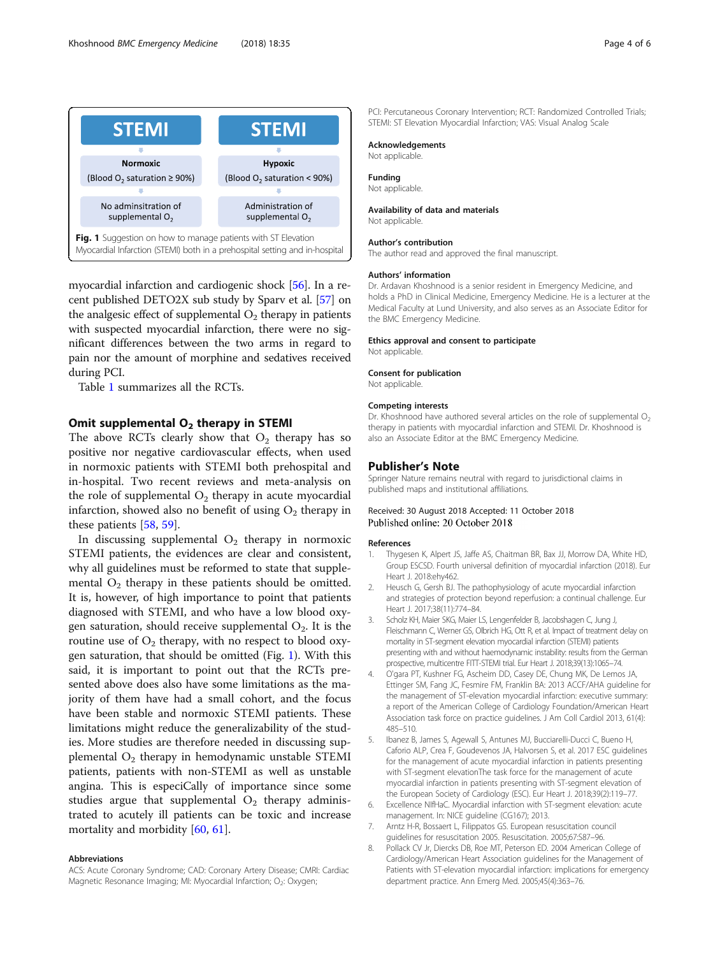<span id="page-3-0"></span>

Fig. 1 Suggestion on how to manage patients with ST Elevation Myocardial Infarction (STEMI) both in a prehospital setting and in-hospital

myocardial infarction and cardiogenic shock [\[56\]](#page-5-0). In a recent published DETO2X sub study by Sparv et al. [\[57\]](#page-5-0) on the analgesic effect of supplemental  $\mathrm{O}_2$  therapy in patients with suspected myocardial infarction, there were no significant differences between the two arms in regard to pain nor the amount of morphine and sedatives received during PCI.

Table [1](#page-2-0) summarizes all the RCTs.

# Omit supplemental  $O<sub>2</sub>$  therapy in STEMI

The above RCTs clearly show that  $O_2$  therapy has so positive nor negative cardiovascular effects, when used in normoxic patients with STEMI both prehospital and in-hospital. Two recent reviews and meta-analysis on the role of supplemental  $\mathrm{O}_2$  therapy in acute myocardial infarction, showed also no benefit of using  $\mathrm{O}_2$  therapy in these patients [[58,](#page-5-0) [59\]](#page-5-0).

In discussing supplemental  $O_2$  therapy in normoxic STEMI patients, the evidences are clear and consistent, why all guidelines must be reformed to state that supplemental  $\mathrm{O}_2$  therapy in these patients should be omitted. It is, however, of high importance to point that patients diagnosed with STEMI, and who have a low blood oxygen saturation, should receive supplemental  $O_2$ . It is the routine use of  $\mathrm{O}_2$  therapy, with no respect to blood oxygen saturation, that should be omitted (Fig. 1). With this said, it is important to point out that the RCTs presented above does also have some limitations as the majority of them have had a small cohort, and the focus have been stable and normoxic STEMI patients. These limitations might reduce the generalizability of the studies. More studies are therefore needed in discussing supplemental  $O_2$  therapy in hemodynamic unstable STEMI patients, patients with non-STEMI as well as unstable angina. This is especiCally of importance since some studies argue that supplemental  $O_2$  therapy administrated to acutely ill patients can be toxic and increase mortality and morbidity [[60,](#page-5-0) [61\]](#page-5-0).

#### Abbreviations

ACS: Acute Coronary Syndrome; CAD: Coronary Artery Disease; CMRI: Cardiac Magnetic Resonance Imaging; MI: Myocardial Infarction; O<sub>2</sub>: Oxygen;

PCI: Percutaneous Coronary Intervention; RCT: Randomized Controlled Trials; STEMI: ST Elevation Myocardial Infarction; VAS: Visual Analog Scale

#### Acknowledgements

Not applicable.

Funding Not applicable.

## Availability of data and materials

Not applicable.

#### Author's contribution

The author read and approved the final manuscript.

#### Authors' information

Dr. Ardavan Khoshnood is a senior resident in Emergency Medicine, and holds a PhD in Clinical Medicine, Emergency Medicine. He is a lecturer at the Medical Faculty at Lund University, and also serves as an Associate Editor for the BMC Emergency Medicine.

#### Ethics approval and consent to participate

Not applicable.

#### Consent for publication

Not applicable.

#### Competing interests

Dr. Khoshnood have authored several articles on the role of supplemental  $O<sub>2</sub>$ therapy in patients with myocardial infarction and STEMI. Dr. Khoshnood is also an Associate Editor at the BMC Emergency Medicine.

#### Publisher's Note

Springer Nature remains neutral with regard to jurisdictional claims in published maps and institutional affiliations.

#### Received: 30 August 2018 Accepted: 11 October 2018 Published online: 20 October 2018

#### References

- 1. Thygesen K, Alpert JS, Jaffe AS, Chaitman BR, Bax JJ, Morrow DA, White HD, Group ESCSD. Fourth universal definition of myocardial infarction (2018). Eur Heart J. 2018:ehy462.
- 2. Heusch G, Gersh BJ. The pathophysiology of acute myocardial infarction and strategies of protection beyond reperfusion: a continual challenge. Eur Heart J. 2017;38(11):774–84.
- 3. Scholz KH, Maier SKG, Maier LS, Lengenfelder B, Jacobshagen C, Jung J, Fleischmann C, Werner GS, Olbrich HG, Ott R, et al. Impact of treatment delay on mortality in ST-segment elevation myocardial infarction (STEMI) patients presenting with and without haemodynamic instability: results from the German prospective, multicentre FITT-STEMI trial. Eur Heart J. 2018;39(13):1065–74.
- 4. O'gara PT, Kushner FG, Ascheim DD, Casey DE, Chung MK, De Lemos JA, Ettinger SM, Fang JC, Fesmire FM, Franklin BA: 2013 ACCF/AHA guideline for the management of ST-elevation myocardial infarction: executive summary: a report of the American College of Cardiology Foundation/American Heart Association task force on practice guidelines. J Am Coll Cardiol 2013, 61(4): 485–510.
- 5. Ibanez B, James S, Agewall S, Antunes MJ, Bucciarelli-Ducci C, Bueno H, Caforio ALP, Crea F, Goudevenos JA, Halvorsen S, et al. 2017 ESC guidelines for the management of acute myocardial infarction in patients presenting with ST-segment elevationThe task force for the management of acute myocardial infarction in patients presenting with ST-segment elevation of the European Society of Cardiology (ESC). Eur Heart J. 2018;39(2):119–77.
- 6. Excellence NIfHaC. Myocardial infarction with ST-segment elevation: acute management. In: NICE guideline (CG167); 2013.
- 7. Arntz H-R, Bossaert L, Filippatos GS. European resuscitation council guidelines for resuscitation 2005. Resuscitation. 2005;67:S87–96.
- 8. Pollack CV Jr, Diercks DB, Roe MT, Peterson ED. 2004 American College of Cardiology/American Heart Association guidelines for the Management of Patients with ST-elevation myocardial infarction: implications for emergency department practice. Ann Emerg Med. 2005;45(4):363–76.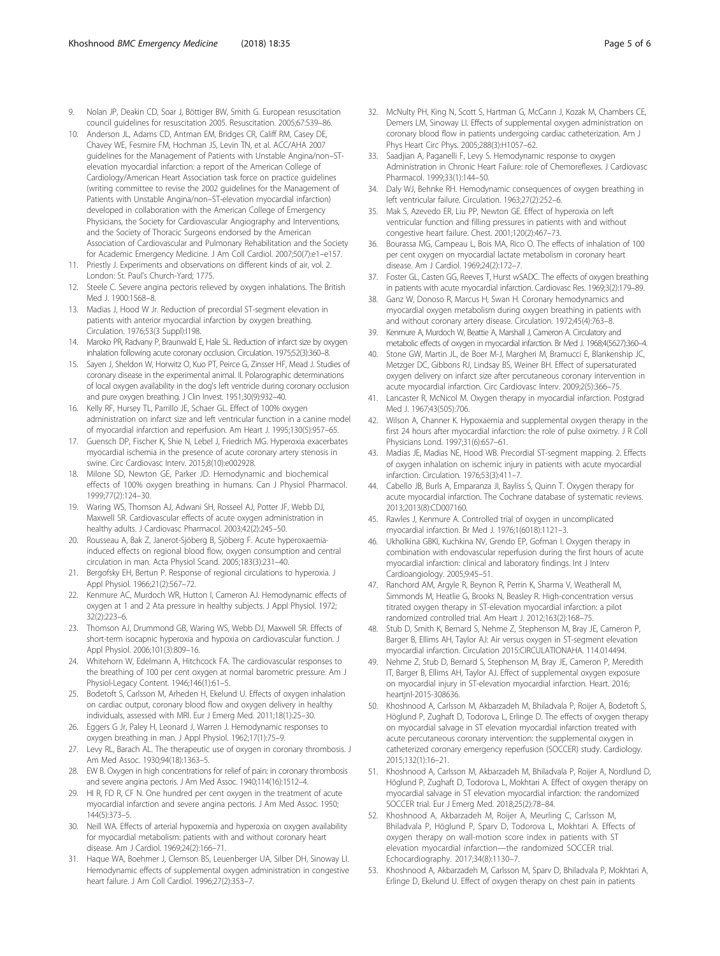- <span id="page-4-0"></span>9. Nolan JP, Deakin CD, Soar J, Böttiger BW, Smith G. European resuscitation council guidelines for resuscitation 2005. Resuscitation. 2005;67:S39–86.
- 10. Anderson JL, Adams CD, Antman EM, Bridges CR, Califf RM, Casey DE, Chavey WE, Fesmire FM, Hochman JS, Levin TN, et al. ACC/AHA 2007 guidelines for the Management of Patients with Unstable Angina/non–STelevation myocardial infarction: a report of the American College of Cardiology/American Heart Association task force on practice guidelines (writing committee to revise the 2002 guidelines for the Management of Patients with Unstable Angina/non–ST-elevation myocardial infarction) developed in collaboration with the American College of Emergency Physicians, the Society for Cardiovascular Angiography and Interventions, and the Society of Thoracic Surgeons endorsed by the American Association of Cardiovascular and Pulmonary Rehabilitation and the Society for Academic Emergency Medicine. J Am Coll Cardiol. 2007;50(7):e1–e157.
- 11. Priestly J. Experiments and observations on different kinds of air, vol. 2. London: St. Paul's Church-Yard; 1775.
- 12. Steele C. Severe angina pectoris relieved by oxygen inhalations. The British Med J. 1900:1568–8.
- 13. Madias J, Hood W Jr. Reduction of precordial ST-segment elevation in patients with anterior myocardial infarction by oxygen breathing. Circulation. 1976;53(3 Suppl):I198.
- 14. Maroko PR, Radvany P, Braunwald E, Hale SL. Reduction of infarct size by oxygen inhalation following acute coronary occlusion. Circulation. 1975;52(3):360–8.
- 15. Sayen J, Sheldon W, Horwitz O, Kuo PT, Peirce G, Zinsser HF, Mead J. Studies of coronary disease in the experimental animal. II. Polarographic determinations of local oxygen availability in the dog's left ventricle during coronary occlusion and pure oxygen breathing. J Clin Invest. 1951;30(9):932–40.
- 16. Kelly RF, Hursey TL, Parrillo JE, Schaer GL. Effect of 100% oxygen administration on infarct size and left ventricular function in a canine model of myocardial infarction and reperfusion. Am Heart J. 1995;130(5):957–65.
- 17. Guensch DP, Fischer K, Shie N, Lebel J, Friedrich MG. Hyperoxia exacerbates myocardial ischemia in the presence of acute coronary artery stenosis in swine. Circ Cardiovasc Interv. 2015;8(10):e002928.
- 18. Milone SD, Newton GE, Parker JD. Hemodynamic and biochemical effects of 100% oxygen breathing in humans. Can J Physiol Pharmacol. 1999;77(2):124–30.
- 19. Waring WS, Thomson AJ, Adwani SH, Rosseel AJ, Potter JF, Webb DJ, Maxwell SR. Cardiovascular effects of acute oxygen administration in healthy adults. J Cardiovasc Pharmacol. 2003;42(2):245–50.
- 20. Rousseau A, Bak Z, Janerot-Sjöberg B, Sjöberg F. Acute hyperoxaemiainduced effects on regional blood flow, oxygen consumption and central circulation in man. Acta Physiol Scand. 2005;183(3):231–40.
- 21. Bergofsky EH, Bertun P. Response of regional circulations to hyperoxia. J Appl Physiol. 1966;21(2):567–72.
- 22. Kenmure AC, Murdoch WR, Hutton I, Cameron AJ. Hemodynamic effects of oxygen at 1 and 2 Ata pressure in healthy subjects. J Appl Physiol. 1972; 32(2):223–6.
- 23. Thomson AJ, Drummond GB, Waring WS, Webb DJ, Maxwell SR. Effects of short-term isocapnic hyperoxia and hypoxia on cardiovascular function. J Appl Physiol. 2006;101(3):809–16.
- 24. Whitehorn W, Edelmann A, Hitchcock FA. The cardiovascular responses to the breathing of 100 per cent oxygen at normal barometric pressure. Am J Physiol-Legacy Content. 1946;146(1):61–5.
- 25. Bodetoft S, Carlsson M, Arheden H, Ekelund U. Effects of oxygen inhalation on cardiac output, coronary blood flow and oxygen delivery in healthy individuals, assessed with MRI. Eur J Emerg Med. 2011;18(1):25–30.
- 26. Eggers G Jr, Paley H, Leonard J, Warren J. Hemodynamic responses to oxygen breathing in man. J Appl Physiol. 1962;17(1):75–9.
- 27. Levy RL, Barach AL. The therapeutic use of oxygen in coronary thrombosis. J Am Med Assoc. 1930;94(18):1363–5.
- 28. EW B. Oxygen in high concentrations for relief of pain: in coronary thrombosis and severe angina pectoris. J Am Med Assoc. 1940;114(16):1512–4.
- 29. HI R, FD R, CF N. One hundred per cent oxygen in the treatment of acute myocardial infarction and severe angina pectoris. J Am Med Assoc. 1950; 144(5):373–5.
- 30. Neill WA. Effects of arterial hypoxemia and hyperoxia on oxygen availability for myocardial metabolism: patients with and without coronary heart disease. Am J Cardiol. 1969;24(2):166–71.
- 31. Haque WA, Boehmer J, Clemson BS, Leuenberger UA, Silber DH, Sinoway LI. Hemodynamic effects of supplemental oxygen administration in congestive heart failure. J Am Coll Cardiol. 1996;27(2):353–7.
- 32. McNulty PH, King N, Scott S, Hartman G, McCann J, Kozak M, Chambers CE, Demers LM, Sinoway LI. Effects of supplemental oxygen administration on coronary blood flow in patients undergoing cardiac catheterization. Am J Phys Heart Circ Phys. 2005;288(3):H1057–62.
- 33. Saadjian A, Paganelli F, Levy S. Hemodynamic response to oxygen Administration in Chronic Heart Failure: role of Chemoreflexes. J Cardiovasc Pharmacol. 1999;33(1):144–50.
- 34. Daly WJ, Behnke RH. Hemodynamic consequences of oxygen breathing in left ventricular failure. Circulation. 1963;27(2):252–6.
- 35. Mak S, Azevedo ER, Liu PP, Newton GE. Effect of hyperoxia on left ventricular function and filling pressures in patients with and without congestive heart failure. Chest. 2001;120(2):467–73.
- 36. Bourassa MG, Campeau L, Bois MA, Rico O. The effects of inhalation of 100 per cent oxygen on myocardial lactate metabolism in coronary heart disease. Am J Cardiol. 1969;24(2):172–7.
- 37. Foster GL, Casten GG, Reeves T, Hurst wSADC. The effects of oxygen breathing in patients with acute myocardial infarction. Cardiovasc Res. 1969;3(2):179–89.
- Ganz W, Donoso R, Marcus H, Swan H. Coronary hemodynamics and myocardial oxygen metabolism during oxygen breathing in patients with and without coronary artery disease. Circulation. 1972;45(4):763–8.
- 39. Kenmure A, Murdoch W, Beattie A, Marshall J, Cameron A. Circulatory and metabolic effects of oxygen in myocardial infarction. Br Med J. 1968;4(5627):360–4.
- 40. Stone GW, Martin JL, de Boer M-J, Margheri M, Bramucci E, Blankenship JC, Metzger DC, Gibbons RJ, Lindsay BS, Weiner BH. Effect of supersaturated oxygen delivery on infarct size after percutaneous coronary intervention in acute myocardial infarction. Circ Cardiovasc Interv. 2009;2(5):366–75.
- 41. Lancaster R, McNicol M. Oxygen therapy in myocardial infarction. Postgrad Med J. 1967;43(505):706.
- 42. Wilson A, Channer K. Hypoxaemia and supplemental oxygen therapy in the first 24 hours after myocardial infarction: the role of pulse oximetry. J R Coll Physicians Lond. 1997;31(6):657–61.
- 43. Madias JE, Madias NE, Hood WB. Precordial ST-segment mapping. 2. Effects of oxygen inhalation on ischemic injury in patients with acute myocardial infarction. Circulation. 1976;53(3):411–7.
- 44. Cabello JB, Burls A, Emparanza JI, Bayliss S, Quinn T. Oxygen therapy for acute myocardial infarction. The Cochrane database of systematic reviews. 2013;2013(8):CD007160.
- 45. Rawles J, Kenmure A. Controlled trial of oxygen in uncomplicated myocardial infarction. Br Med J. 1976;1(6018):1121–3.
- 46. Ukholkina GBKI, Kuchkina NV, Grendo EP, Gofman I. Oxygen therapy in combination with endovascular reperfusion during the first hours of acute myocardial infarction: clinical and laboratory findings. Int J Interv Cardioangiology. 2005;9:45–51.
- 47. Ranchord AM, Argyle R, Beynon R, Perrin K, Sharma V, Weatherall M, Simmonds M, Heatlie G, Brooks N, Beasley R. High-concentration versus titrated oxygen therapy in ST-elevation myocardial infarction: a pilot randomized controlled trial. Am Heart J. 2012;163(2):168–75.
- 48. Stub D, Smith K, Bernard S, Nehme Z, Stephenson M, Bray JE, Cameron P, Barger B, Ellims AH, Taylor AJ: Air versus oxygen in ST-segment elevation myocardial infarction. Circulation 2015:CIRCULATIONAHA. 114.014494.
- 49. Nehme Z, Stub D, Bernard S, Stephenson M, Bray JE, Cameron P, Meredith IT, Barger B, Ellims AH, Taylor AJ. Effect of supplemental oxygen exposure on myocardial injury in ST-elevation myocardial infarction. Heart. 2016; heartjnl-2015-308636.
- 50. Khoshnood A, Carlsson M, Akbarzadeh M, Bhiladvala P, Roijer A, Bodetoft S, Höglund P, Zughaft D, Todorova L, Erlinge D. The effects of oxygen therapy on myocardial salvage in ST elevation myocardial infarction treated with acute percutaneous coronary intervention: the supplemental oxygen in catheterized coronary emergency reperfusion (SOCCER) study. Cardiology. 2015;132(1):16–21.
- 51. Khoshnood A, Carlsson M, Akbarzadeh M, Bhiladvala P, Roijer A, Nordlund D, Höglund P, Zughaft D, Todorova L, Mokhtari A. Effect of oxygen therapy on myocardial salvage in ST elevation myocardial infarction: the randomized SOCCER trial. Eur J Emerg Med. 2018;25(2):78–84.
- 52. Khoshnood A, Akbarzadeh M, Roijer A, Meurling C, Carlsson M, Bhiladvala P, Höglund P, Sparv D, Todorova L, Mokhtari A. Effects of oxygen therapy on wall-motion score index in patients with ST elevation myocardial infarction—the randomized SOCCER trial. Echocardiography. 2017;34(8):1130–7.
- 53. Khoshnood A, Akbarzadeh M, Carlsson M, Sparv D, Bhiladvala P, Mokhtari A, Erlinge D, Ekelund U. Effect of oxygen therapy on chest pain in patients